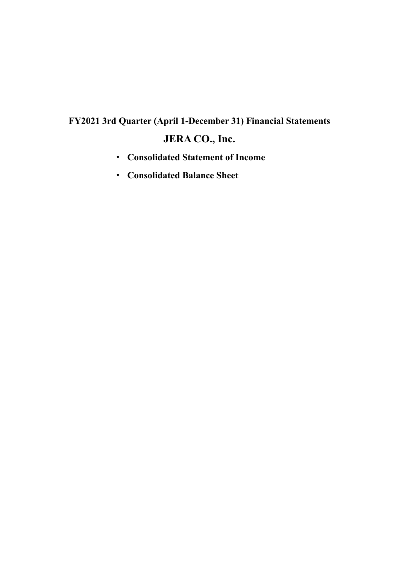## **FY2021 3rd Quarter (April 1-December 31) Financial Statements JERA CO., Inc.**

- · **Consolidated Statement of Income**
- · **Consolidated Balance Sheet**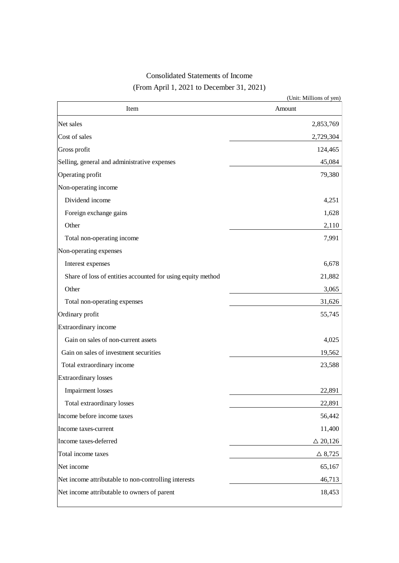## Consolidated Statements of Income (From April 1, 2021 to December 31, 2021)

|                                                             | (Unit: Millions of yen) |
|-------------------------------------------------------------|-------------------------|
| Item                                                        | Amount                  |
| Net sales                                                   | 2,853,769               |
| Cost of sales                                               | 2,729,304               |
| Gross profit                                                | 124,465                 |
| Selling, general and administrative expenses                | 45,084                  |
| Operating profit                                            | 79,380                  |
| Non-operating income                                        |                         |
| Dividend income                                             | 4,251                   |
| Foreign exchange gains                                      | 1,628                   |
| Other                                                       | 2,110                   |
| Total non-operating income                                  | 7,991                   |
| Non-operating expenses                                      |                         |
| Interest expenses                                           | 6,678                   |
| Share of loss of entities accounted for using equity method | 21,882                  |
| Other                                                       | 3,065                   |
| Total non-operating expenses                                | 31,626                  |
| Ordinary profit                                             | 55,745                  |
| Extraordinary income                                        |                         |
| Gain on sales of non-current assets                         | 4,025                   |
| Gain on sales of investment securities                      | 19,562                  |
| Total extraordinary income                                  | 23,588                  |
| <b>Extraordinary losses</b>                                 |                         |
| Impairment losses                                           | 22,891                  |
| Total extraordinary losses                                  | 22,891                  |
| Income before income taxes                                  | 56,442                  |
| Income taxes-current                                        | 11,400                  |
| Income taxes-deferred                                       | $\triangle$ 20,126      |
| Total income taxes                                          | $\triangle$ 8,725       |
| Net income                                                  | 65,167                  |
| Net income attributable to non-controlling interests        | 46,713                  |
| Net income attributable to owners of parent                 | 18,453                  |
|                                                             |                         |